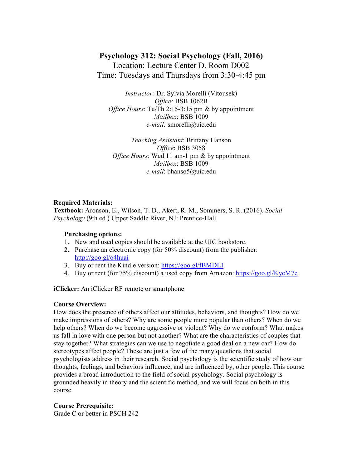# **Psychology 312: Social Psychology (Fall, 2016)**

Location: Lecture Center D, Room D002 Time: Tuesdays and Thursdays from 3:30-4:45 pm

*Instructor:* Dr. Sylvia Morelli (Vitousek) *Office:* BSB 1062B *Office Hours*: Tu/Th 2:15-3:15 pm & by appointment *Mailbox*: BSB 1009 *e-mail:* smorelli@uic.edu

*Teaching Assistant*: Brittany Hanson *Office*: BSB 3058 *Office Hours*: Wed 11 am-1 pm & by appointment *Mailbox*: BSB 1009 *e-mail*: bhanso5@uic.edu

## **Required Materials:**

**Textbook:** Aronson, E., Wilson, T. D., Akert, R. M., Sommers, S. R. (2016). *Social Psychology* (9th ed.) Upper Saddle River, NJ: Prentice-Hall.

### **Purchasing options:**

- 1. New and used copies should be available at the UIC bookstore.
- 2. Purchase an electronic copy (for 50% discount) from the publisher: http://goo.gl/o4huai
- 3. Buy or rent the Kindle version: https://goo.gl/fBMDLI
- 4. Buy or rent (for 75% discount) a used copy from Amazon: https://goo.gl/KycM7e

**iClicker:** An iClicker RF remote or smartphone

### **Course Overview:**

How does the presence of others affect our attitudes, behaviors, and thoughts? How do we make impressions of others? Why are some people more popular than others? When do we help others? When do we become aggressive or violent? Why do we conform? What makes us fall in love with one person but not another? What are the characteristics of couples that stay together? What strategies can we use to negotiate a good deal on a new car? How do stereotypes affect people? These are just a few of the many questions that social psychologists address in their research. Social psychology is the scientific study of how our thoughts, feelings, and behaviors influence, and are influenced by, other people. This course provides a broad introduction to the field of social psychology. Social psychology is grounded heavily in theory and the scientific method, and we will focus on both in this course.

# **Course Prerequisite:**

Grade C or better in PSCH 242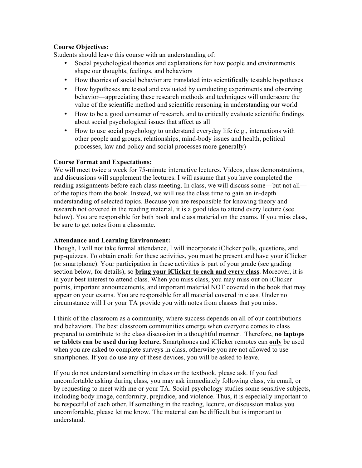# **Course Objectives:**

Students should leave this course with an understanding of:

- Social psychological theories and explanations for how people and environments shape our thoughts, feelings, and behaviors
- How theories of social behavior are translated into scientifically testable hypotheses
- How hypotheses are tested and evaluated by conducting experiments and observing behavior—appreciating these research methods and techniques will underscore the value of the scientific method and scientific reasoning in understanding our world
- How to be a good consumer of research, and to critically evaluate scientific findings about social psychological issues that affect us all
- How to use social psychology to understand everyday life (e.g., interactions with other people and groups, relationships, mind-body issues and health, political processes, law and policy and social processes more generally)

# **Course Format and Expectations:**

We will meet twice a week for 75-minute interactive lectures. Videos, class demonstrations, and discussions will supplement the lectures. I will assume that you have completed the reading assignments before each class meeting. In class, we will discuss some—but not all of the topics from the book. Instead, we will use the class time to gain an in-depth understanding of selected topics. Because you are responsible for knowing theory and research not covered in the reading material, it is a good idea to attend every lecture (see below). You are responsible for both book and class material on the exams. If you miss class, be sure to get notes from a classmate.

### **Attendance and Learning Environment:**

Though, I will not take formal attendance, I will incorporate iClicker polls, questions, and pop-quizzes. To obtain credit for these activities, you must be present and have your iClicker (or smartphone). Your participation in these activities is part of your grade (see grading section below, for details), so **bring your iClicker to each and every class**. Moreover, it is in your best interest to attend class. When you miss class, you may miss out on iClicker points, important announcements, and important material NOT covered in the book that may appear on your exams. You are responsible for all material covered in class. Under no circumstance will I or your TA provide you with notes from classes that you miss.

I think of the classroom as a community, where success depends on all of our contributions and behaviors. The best classroom communities emerge when everyone comes to class prepared to contribute to the class discussion in a thoughtful manner. Therefore, **no laptops or tablets can be used during lecture.** Smartphones and iClicker remotes can **only** be used when you are asked to complete surveys in class, otherwise you are not allowed to use smartphones. If you do use any of these devices, you will be asked to leave.

If you do not understand something in class or the textbook, please ask. If you feel uncomfortable asking during class, you may ask immediately following class, via email, or by requesting to meet with me or your TA. Social psychology studies some sensitive subjects, including body image, conformity, prejudice, and violence. Thus, it is especially important to be respectful of each other. If something in the reading, lecture, or discussion makes you uncomfortable, please let me know. The material can be difficult but is important to understand.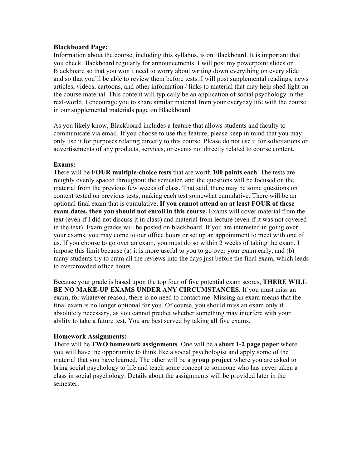## **Blackboard Page:**

Information about the course, including this syllabus, is on Blackboard. It is important that you check Blackboard regularly for announcements. I will post my powerpoint slides on Blackboard so that you won't need to worry about writing down everything on every slide and so that you'll be able to review them before tests. I will post supplemental readings, news articles, videos, cartoons, and other information / links to material that may help shed light on the course material. This content will typically be an application of social psychology in the real-world. I encourage you to share similar material from your everyday life with the course in our supplemental materials page on Blackboard.

As you likely know, Blackboard includes a feature that allows students and faculty to communicate via email. If you choose to use this feature, please keep in mind that you may only use it for purposes relating directly to this course. Please do not use it for solicitations or advertisements of any products, services, or events not directly related to course content.

## **Exams:**

There will be **FOUR multiple-choice tests** that are worth **100 points each**. The tests are roughly evenly spaced throughout the semester, and the questions will be focused on the material from the previous few weeks of class. That said, there may be some questions on content tested on previous tests, making each test somewhat cumulative. There will be an optional final exam that is cumulative. **If you cannot attend on at least FOUR of these exam dates, then you should not enroll in this course.** Exams will cover material from the text (even if I did not discuss it in class) and material from lecture (even if it was not covered in the text). Exam grades will be posted on blackboard. If you are interested in going over your exams, you may come to our office hours or set up an appointment to meet with one of us. If you choose to go over an exam, you must do so within 2 weeks of taking the exam. I impose this limit because (a) it is more useful to you to go over your exam early, and (b) many students try to cram all the reviews into the days just before the final exam, which leads to overcrowded office hours.

Because your grade is based upon the top four of five potential exam scores, **THERE WILL BE NO MAKE-UP EXAMS UNDER ANY CIRCUMSTANCES**. If you must miss an exam, for whatever reason, there is no need to contact me. Missing an exam means that the final exam is no longer optional for you. Of course, you should miss an exam only if absolutely necessary, as you cannot predict whether something may interfere with your ability to take a future test. You are best served by taking all five exams.

# **Homework Assignments:**

There will be **TWO homework assignments**. One will be a **short 1-2 page paper** where you will have the opportunity to think like a social psychologist and apply some of the material that you have learned. The other will be a **group project** where you are asked to bring social psychology to life and teach some concept to someone who has never taken a class in social psychology. Details about the assignments will be provided later in the semester.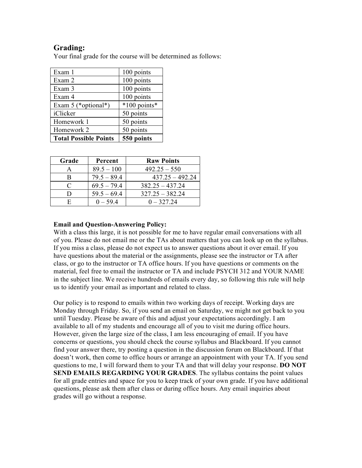# **Grading:**

Your final grade for the course will be determined as follows:

| Exam 1                       | 100 points   |
|------------------------------|--------------|
| Exam 2                       | 100 points   |
| Exam 3                       | 100 points   |
| Exam 4                       | 100 points   |
| Exam $5$ (*optional*)        | *100 points* |
| iClicker                     | 50 points    |
| Homework 1                   | 50 points    |
| Homework 2                   | 50 points    |
| <b>Total Possible Points</b> | 550 points   |

| Grade | Percent       | <b>Raw Points</b> |
|-------|---------------|-------------------|
|       | $89.5 - 100$  | $492.25 - 550$    |
| B     | $79.5 - 89.4$ | $437.25 - 492.24$ |
|       | $69.5 - 79.4$ | $382.25 - 437.24$ |
|       | $59.5 - 69.4$ | $327.25 - 382.24$ |
|       | $0 - 594$     | $0 - 32724$       |

## **Email and Question-Answering Policy:**

With a class this large, it is not possible for me to have regular email conversations with all of you. Please do not email me or the TAs about matters that you can look up on the syllabus. If you miss a class, please do not expect us to answer questions about it over email. If you have questions about the material or the assignments, please see the instructor or TA after class, or go to the instructor or TA office hours. If you have questions or comments on the material, feel free to email the instructor or TA and include PSYCH 312 and YOUR NAME in the subject line. We receive hundreds of emails every day, so following this rule will help us to identify your email as important and related to class.

Our policy is to respond to emails within two working days of receipt. Working days are Monday through Friday. So, if you send an email on Saturday, we might not get back to you until Tuesday. Please be aware of this and adjust your expectations accordingly. I am available to all of my students and encourage all of you to visit me during office hours. However, given the large size of the class, I am less encouraging of email. If you have concerns or questions, you should check the course syllabus and Blackboard. If you cannot find your answer there, try posting a question in the discussion forum on Blackboard. If that doesn't work, then come to office hours or arrange an appointment with your TA. If you send questions to me, I will forward them to your TA and that will delay your response. **DO NOT SEND EMAILS REGARDING YOUR GRADES**. The syllabus contains the point values for all grade entries and space for you to keep track of your own grade. If you have additional questions, please ask them after class or during office hours. Any email inquiries about grades will go without a response.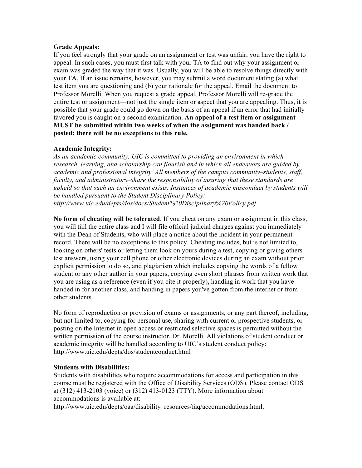## **Grade Appeals:**

If you feel strongly that your grade on an assignment or test was unfair, you have the right to appeal. In such cases, you must first talk with your TA to find out why your assignment or exam was graded the way that it was. Usually, you will be able to resolve things directly with your TA. If an issue remains, however, you may submit a word document stating (a) what test item you are questioning and (b) your rationale for the appeal. Email the document to Professor Morelli. When you request a grade appeal, Professor Morelli will re-grade the entire test or assignment—not just the single item or aspect that you are appealing. Thus, it is possible that your grade could go down on the basis of an appeal if an error that had initially favored you is caught on a second examination. **An appeal of a test item or assignment MUST be submitted within two weeks of when the assignment was handed back / posted; there will be no exceptions to this rule.** 

## **Academic Integrity:**

*As an academic community, UIC is committed to providing an environment in which research, learning, and scholarship can flourish and in which all endeavors are guided by academic and professional integrity. All members of the campus community–students, staff, faculty, and administrators–share the responsibility of insuring that these standards are upheld so that such an environment exists. Instances of academic misconduct by students will be handled pursuant to the Student Disciplinary Policy: http://www.uic.edu/depts/dos/docs/Student%20Disciplinary%20Policy.pdf* 

**No form of cheating will be tolerated**. If you cheat on any exam or assignment in this class, you will fail the entire class and I will file official judicial charges against you immediately with the Dean of Students, who will place a notice about the incident in your permanent record. There will be no exceptions to this policy. Cheating includes, but is not limited to, looking on others' tests or letting them look on yours during a test, copying or giving others test answers, using your cell phone or other electronic devices during an exam without prior explicit permission to do so, and plagiarism which includes copying the words of a fellow student or any other author in your papers, copying even short phrases from written work that you are using as a reference (even if you cite it properly), handing in work that you have handed in for another class, and handing in papers you've gotten from the internet or from other students.

No form of reproduction or provision of exams or assignments, or any part thereof, including, but not limited to, copying for personal use, sharing with current or prospective students, or posting on the Internet in open access or restricted selective spaces is permitted without the written permission of the course instructor, Dr. Morelli. All violations of student conduct or academic integrity will be handled according to UIC's student conduct policy: http://www.uic.edu/depts/dos/studentconduct.html

# **Students with Disabilities:**

Students with disabilities who require accommodations for access and participation in this course must be registered with the Office of Disability Services (ODS). Please contact ODS at (312) 413-2103 (voice) or (312) 413-0123 (TTY). More information about accommodations is available at:

http://www.uic.edu/depts/oaa/disability\_resources/faq/accommodations.html.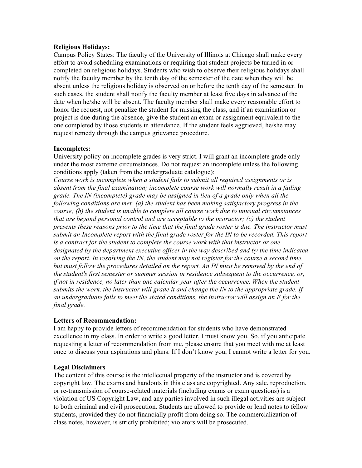## **Religious Holidays:**

Campus Policy States: The faculty of the University of Illinois at Chicago shall make every effort to avoid scheduling examinations or requiring that student projects be turned in or completed on religious holidays. Students who wish to observe their religious holidays shall notify the faculty member by the tenth day of the semester of the date when they will be absent unless the religious holiday is observed on or before the tenth day of the semester. In such cases, the student shall notify the faculty member at least five days in advance of the date when he/she will be absent. The faculty member shall make every reasonable effort to honor the request, not penalize the student for missing the class, and if an examination or project is due during the absence, give the student an exam or assignment equivalent to the one completed by those students in attendance. If the student feels aggrieved, he/she may request remedy through the campus grievance procedure.

## **Incompletes:**

University policy on incomplete grades is very strict. I will grant an incomplete grade only under the most extreme circumstances. Do not request an incomplete unless the following conditions apply (taken from the undergraduate catalogue):

*Course work is incomplete when a student fails to submit all required assignments or is absent from the final examination; incomplete course work will normally result in a failing grade. The IN (incomplete) grade may be assigned in lieu of a grade only when all the following conditions are met: (a) the student has been making satisfactory progress in the course; (b) the student is unable to complete all course work due to unusual circumstances that are beyond personal control and are acceptable to the instructor; (c) the student presents these reasons prior to the time that the final grade roster is due. The instructor must submit an Incomplete report with the final grade roster for the IN to be recorded. This report is a contract for the student to complete the course work with that instructor or one designated by the department executive officer in the way described and by the time indicated on the report. In resolving the IN, the student may not register for the course a second time, but must follow the procedures detailed on the report. An IN must be removed by the end of the student's first semester or summer session in residence subsequent to the occurrence, or, if not in residence, no later than one calendar year after the occurrence. When the student submits the work, the instructor will grade it and change the IN to the appropriate grade. If an undergraduate fails to meet the stated conditions, the instructor will assign an E for the final grade.* 

# **Letters of Recommendation:**

I am happy to provide letters of recommendation for students who have demonstrated excellence in my class. In order to write a good letter, I must know you. So, if you anticipate requesting a letter of recommendation from me, please ensure that you meet with me at least once to discuss your aspirations and plans. If I don't know you, I cannot write a letter for you.

# **Legal Disclaimers**

The content of this course is the intellectual property of the instructor and is covered by copyright law. The exams and handouts in this class are copyrighted. Any sale, reproduction, or re-transmission of course-related materials (including exams or exam questions) is a violation of US Copyright Law, and any parties involved in such illegal activities are subject to both criminal and civil prosecution. Students are allowed to provide or lend notes to fellow students, provided they do not financially profit from doing so. The commercialization of class notes, however, is strictly prohibited; violators will be prosecuted.